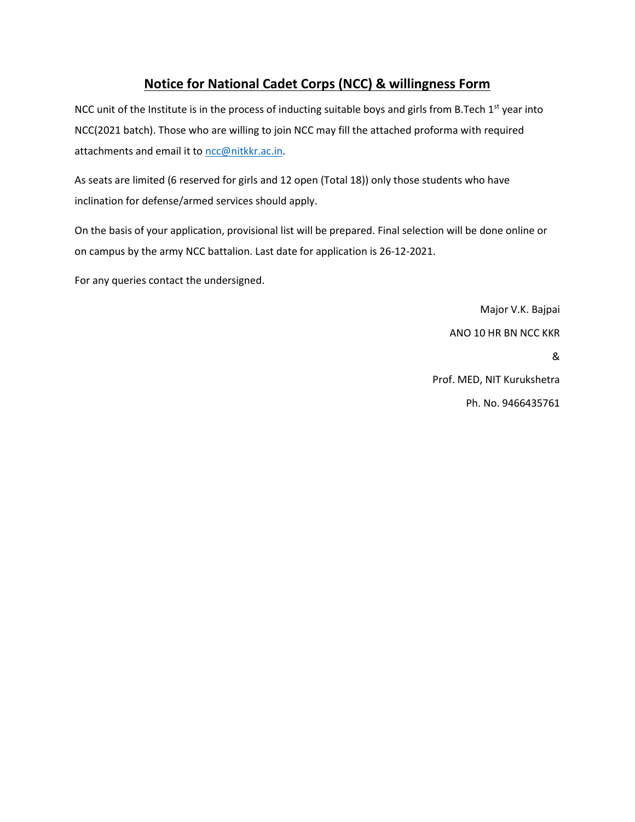## **Notice for National Cadet Corps (NCC) & willingness Form**

NCC unit of the Institute is in the process of inducting suitable boys and girls from B.Tech 1<sup>st</sup> year into NCC(2021 batch). Those who are willing to join NCC may fill the attached proforma with required attachments and email it to [ncc@nitkkr.ac.in.](mailto:ncc@nitkkr.ac.in)

As seats are limited (6 reserved for girls and 12 open (Total 18)) only those students who have inclination for defense/armed services should apply.

On the basis of your application, provisional list will be prepared. Final selection will be done online or on campus by the army NCC battalion. Last date for application is 26-12-2021.

For any queries contact the undersigned.

Major V.K. Bajpai ANO 10 HR BN NCC KKR &

Prof. MED, NIT Kurukshetra Ph. No. 9466435761